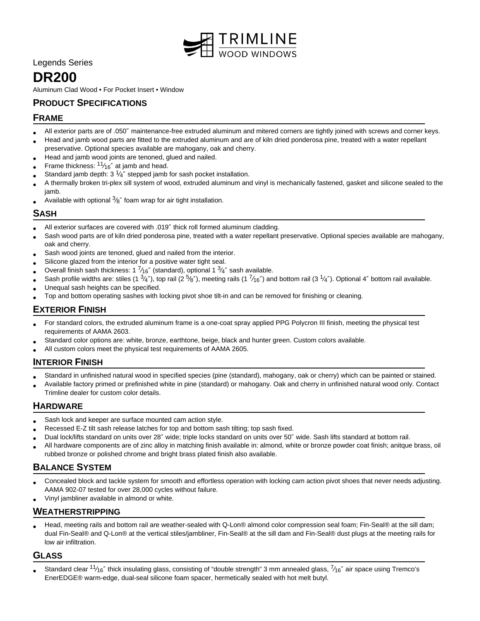

Legends Series

# **DR200**

Aluminum Clad Wood • For Pocket Insert • Window

# **PRODUCT SPECIFICATIONS**

#### **FRAME**

- All exterior parts are of .050″ maintenance-free extruded aluminum and mitered corners are tightly joined with screws and corner keys.
- Head and jamb wood parts are fitted to the extruded aluminum and are of kiln dried ponderosa pine, treated with a water repellant preservative. Optional species available are mahogany, oak and cherry.
- Head and jamb wood joints are tenoned, glued and nailed.
- • Frame thickness:  $11/16''$  at jamb and head.
- Standard jamb depth:  $3\frac{1}{4}$ " stepped jamb for sash pocket installation.
- A thermally broken tri-plex sill system of wood, extruded aluminum and vinyl is mechanically fastened, gasket and silicone sealed to the jamb.
- Available with optional  $\frac{3}{8}$ " foam wrap for air tight installation.

#### **SASH**

- All exterior surfaces are covered with .019″ thick roll formed aluminum cladding.
- Sash wood parts are of kiln dried ponderosa pine, treated with a water repellant preservative. Optional species available are mahogany, oak and cherry.
- Sash wood joints are tenoned, glued and nailed from the interior.
- Silicone glazed from the interior for a positive water tight seal.
- Overall finish sash thickness: 1  $\frac{7}{16}$ " (standard), optional 1  $\frac{3}{4}$ " sash available.
- Sash profile widths are: stiles (1  $\frac{3}{4}$ "), top rail (2  $\frac{5}{8}$ "), meeting rails (1  $\frac{7}{16}$ ") and bottom rail (3  $\frac{1}{4}$ "). Optional 4" bottom rail available.
- Unequal sash heights can be specified.
- Top and bottom operating sashes with locking pivot shoe tilt-in and can be removed for finishing or cleaning.

#### **EXTERIOR FINISH**

- For standard colors, the extruded aluminum frame is a one-coat spray applied PPG Polycron III finish, meeting the physical test requirements of AAMA 2603.
- Standard color options are: white, bronze, earthtone, beige, black and hunter green. Custom colors available.
- All custom colors meet the physical test requirements of AAMA 2605.

#### **INTERIOR FINISH**

- Standard in unfinished natural wood in specified species (pine (standard), mahogany, oak or cherry) which can be painted or stained.
- Available factory primed or prefinished white in pine (standard) or mahogany. Oak and cherry in unfinished natural wood only. Contact Trimline dealer for custom color details.

#### **HARDWARE**

- Sash lock and keeper are surface mounted cam action style.
- Recessed E-Z tilt sash release latches for top and bottom sash tilting; top sash fixed.
- Dual lock/lifts standard on units over 28″ wide; triple locks standard on units over 50″ wide. Sash lifts standard at bottom rail.
- All hardware components are of zinc alloy in matching finish available in: almond, white or bronze powder coat finish; anitque brass, oil rubbed bronze or polished chrome and bright brass plated finish also available.

## **BALANCE SYSTEM**

- Concealed block and tackle system for smooth and effortless operation with locking cam action pivot shoes that never needs adjusting. AAMA 902-07 tested for over 28,000 cycles without failure.
- Vinyl jambliner available in almond or white.

## **WEATHERSTRIPPING**

• Head, meeting rails and bottom rail are weather-sealed with Q-Lon® almond color compression seal foam; Fin-Seal® at the sill dam; dual Fin-Seal® and Q-Lon® at the vertical stiles/jambliner, Fin-Seal® at the sill dam and Fin-Seal® dust plugs at the meeting rails for low air infiltration.

#### **GLASS**

• Standard clear  $11/16''$  thick insulating glass, consisting of "double strength" 3 mm annealed glass,  $7/16''$  air space using Tremco's EnerEDGE® warm-edge, dual-seal silicone foam spacer, hermetically sealed with hot melt butyl.